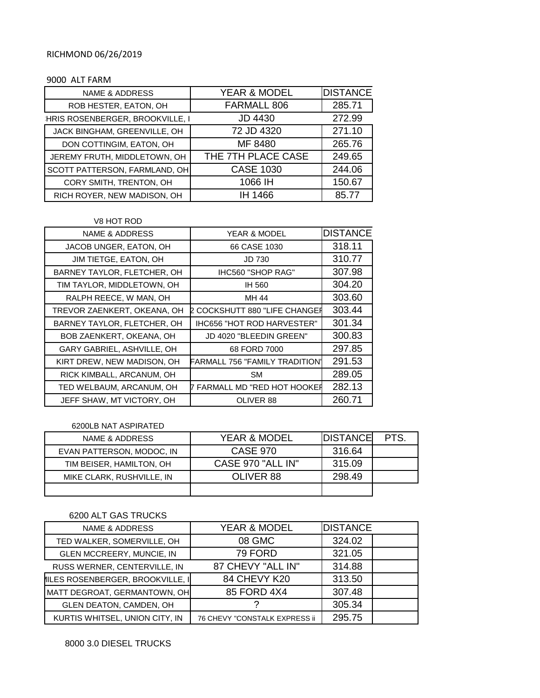## RICHMOND 06/26/2019

## 9000 ALT FARM

| <b>NAME &amp; ADDRESS</b>        | YEAR & MODEL       | <b>DISTANCE</b> |  |
|----------------------------------|--------------------|-----------------|--|
| ROB HESTER, EATON, OH            | FARMALL 806        | 285.71          |  |
| :HRIS ROSENBERGER, BROOKVILLE, I | <b>JD 4430</b>     | 272.99          |  |
| JACK BINGHAM, GREENVILLE, OH     | 72 JD 4320         | 271.10          |  |
| DON COTTINGIM, EATON, OH         | MF 8480            | 265.76          |  |
| JEREMY FRUTH, MIDDLETOWN, OH     | THE 7TH PLACE CASE | 249.65          |  |
| SCOTT PATTERSON, FARMLAND, OH    | <b>CASE 1030</b>   | 244.06          |  |
| CORY SMITH, TRENTON, OH          | 1066 IH            | 150.67          |  |
| RICH ROYER, NEW MADISON, OH      | IH 1466            | 85.77           |  |

## V8 HOT ROD

| <b>NAME &amp; ADDRESS</b><br><b>YEAR &amp; MODEL</b> |                                        | <b>DISTANCE</b> |
|------------------------------------------------------|----------------------------------------|-----------------|
| JACOB UNGER, EATON, OH                               | 66 CASE 1030                           | 318.11          |
| JIM TIETGE, EATON, OH                                | JD 730                                 | 310.77          |
| BARNEY TAYLOR, FLETCHER, OH                          | IHC560 "SHOP RAG"                      | 307.98          |
| TIM TAYLOR, MIDDLETOWN, OH                           | IH 560                                 | 304.20          |
| RALPH REECE, W MAN, OH                               | MH 44                                  | 303.60          |
| TREVOR ZAENKERT, OKEANA, OH                          | 2 COCKSHUTT 880 "LIFE CHANGEF          | 303.44          |
| BARNEY TAYLOR, FLETCHER, OH                          | <b>IHC656 "HOT ROD HARVESTER"</b>      | 301.34          |
| BOB ZAENKERT, OKEANA, OH                             | JD 4020 "BLEEDIN GREEN"                | 300.83          |
| GARY GABRIEL, ASHVILLE, OH                           | 68 FORD 7000                           | 297.85          |
| KIRT DREW, NEW MADISON, OH                           | FARMALL 756 "FAMILY TRADITION <b>'</b> | 291.53          |
| RICK KIMBALL, ARCANUM, OH                            | <b>SM</b>                              | 289.05          |
| TED WELBAUM, ARCANUM, OH                             | <b>FARMALL MD "RED HOT HOOKER</b>      | 282.13          |
| JEFF SHAW, MT VICTORY, OH                            | OLIVER 88                              | 260.71          |

6200LB NAT ASPIRATED

| NAME & ADDRESS            | <b>YEAR &amp; MODEL</b> | <b>IDISTANCE</b> | PTS. |
|---------------------------|-------------------------|------------------|------|
| EVAN PATTERSON, MODOC, IN | <b>CASE 970</b>         | 316.64           |      |
| TIM BEISER, HAMILTON, OH  | CASE 970 "ALL IN"       | 315.09           |      |
| MIKE CLARK, RUSHVILLE, IN | OLIVER 88               | 298.49           |      |
|                           |                         |                  |      |

## 6200 ALT GAS TRUCKS

| <b>NAME &amp; ADDRESS</b>       | <b>YEAR &amp; MODEL</b>       | <b>DISTANCE</b> |  |
|---------------------------------|-------------------------------|-----------------|--|
| TED WALKER, SOMERVILLE, OH      | 08 GMC                        | 324.02          |  |
| GLEN MCCREERY, MUNCIE, IN       | 79 FORD                       | 321.05          |  |
| RUSS WERNER, CENTERVILLE, IN    | 87 CHEVY "ALL IN"             | 314.88          |  |
| ILES ROSENBERGER, BROOKVILLE, I | 84 CHEVY K20                  | 313.50          |  |
| MATT DEGROAT, GERMANTOWN, OH    | 85 FORD 4X4                   | 307.48          |  |
| GLEN DEATON, CAMDEN, OH         |                               | 305.34          |  |
| KURTIS WHITSEL, UNION CITY, IN  | 76 CHEVY "CONSTALK EXPRESS ii | 295.75          |  |

8000 3.0 DIESEL TRUCKS